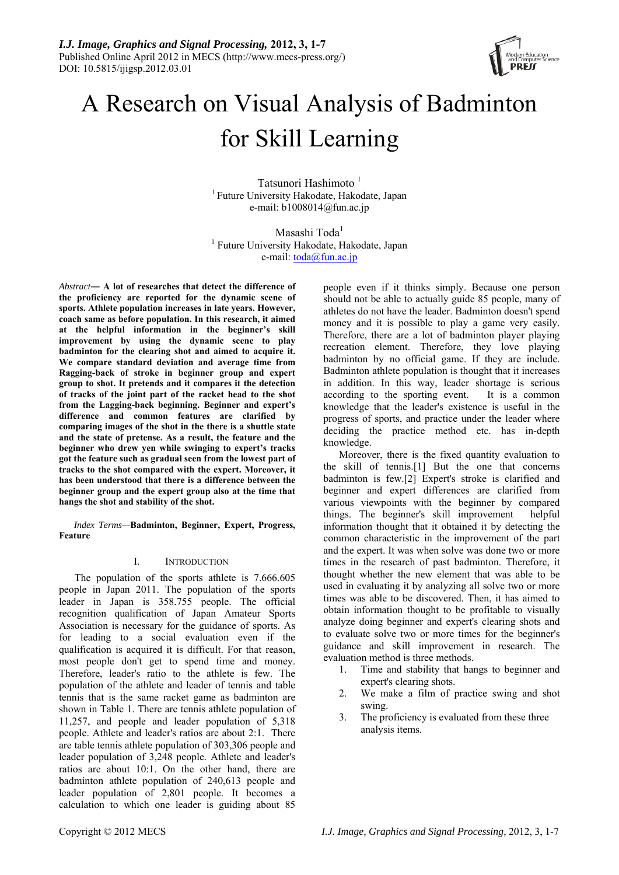

# A Research on Visual Analysis of Badminton for Skill Learning

Tatsunori Hashimoto<sup>1</sup> 1 Future University Hakodate, Hakodate, Japan e-mail: b1008014@fun.ac.jp

Masashi Toda<sup>1</sup> <sup>1</sup> Future University Hakodate, Hakodate, Japan e-mail:  $\text{total@fun.ac.jp}$ 

*Abstract***― A lot of researches that detect the difference of the proficiency are reported for the dynamic scene of sports. Athlete population increases in late years. However, coach same as before population. In this research, it aimed at the helpful information in the beginner's skill improvement by using the dynamic scene to play badminton for the clearing shot and aimed to acquire it. We compare standard deviation and average time from Ragging-back of stroke in beginner group and expert group to shot. It pretends and it compares it the detection of tracks of the joint part of the racket head to the shot from the Lagging-back beginning. Beginner and expert's difference and common features are clarified by comparing images of the shot in the there is a shuttle state and the state of pretense. As a result, the feature and the beginner who drew yen while swinging to expert's tracks got the feature such as gradual seen from the lowest part of tracks to the shot compared with the expert. Moreover, it has been understood that there is a difference between the beginner group and the expert group also at the time that hangs the shot and stability of the shot.** 

*Index Terms—***Badminton, Beginner, Expert, Progress, Feature** 

## I. INTRODUCTION

The population of the sports athlete is 7.666.605 people in Japan 2011. The population of the sports leader in Japan is 358.755 people. The official recognition qualification of Japan Amateur Sports Association is necessary for the guidance of sports. As for leading to a social evaluation even if the qualification is acquired it is difficult. For that reason, most people don't get to spend time and money. Therefore, leader's ratio to the athlete is few. The population of the athlete and leader of tennis and table tennis that is the same racket game as badminton are shown in Table 1. There are tennis athlete population of 11,257, and people and leader population of 5,318 people. Athlete and leader's ratios are about 2:1. There are table tennis athlete population of 303,306 people and leader population of 3,248 people. Athlete and leader's ratios are about 10:1. On the other hand, there are badminton athlete population of 240,613 people and leader population of 2,801 people. It becomes a calculation to which one leader is guiding about 85

people even if it thinks simply. Because one person should not be able to actually guide 85 people, many of athletes do not have the leader. Badminton doesn't spend money and it is possible to play a game very easily. Therefore, there are a lot of badminton player playing recreation element. Therefore, they love playing badminton by no official game. If they are include. Badminton athlete population is thought that it increases in addition. In this way, leader shortage is serious according to the sporting event. It is a common knowledge that the leader's existence is useful in the progress of sports, and practice under the leader where deciding the practice method etc. has in-depth knowledge.

Moreover, there is the fixed quantity evaluation to the skill of tennis.[1] But the one that concerns badminton is few.[2] Expert's stroke is clarified and beginner and expert differences are clarified from various viewpoints with the beginner by compared things. The beginner's skill improvement helpful information thought that it obtained it by detecting the common characteristic in the improvement of the part and the expert. It was when solve was done two or more times in the research of past badminton. Therefore, it thought whether the new element that was able to be used in evaluating it by analyzing all solve two or more times was able to be discovered. Then, it has aimed to obtain information thought to be profitable to visually analyze doing beginner and expert's clearing shots and to evaluate solve two or more times for the beginner's guidance and skill improvement in research. The evaluation method is three methods.

- 1. Time and stability that hangs to beginner and expert's clearing shots.
- 2. We make a film of practice swing and shot swing.
- 3. The proficiency is evaluated from these three analysis items.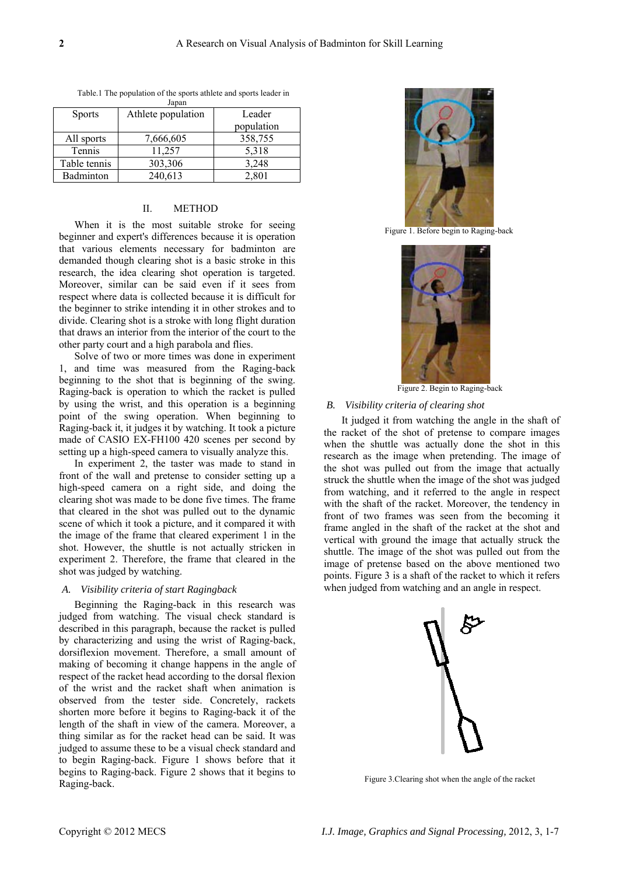| <b>Sports</b> | Athlete population | Leader     |
|---------------|--------------------|------------|
|               |                    | population |
| All sports    | 7,666,605          | 358,755    |
| Tennis        | 11,257             | 5,318      |
| Table tennis  | 303,306            | 3,248      |
| Badminton     | 240,613            | 2,801      |

Table.1 The population of the sports athlete and sports leader in Japan

#### II. METHOD

When it is the most suitable stroke for seeing beginner and expert's differences because it is operation that various elements necessary for badminton are demanded though clearing shot is a basic stroke in this research, the idea clearing shot operation is targeted. Moreover, similar can be said even if it sees from respect where data is collected because it is difficult for the beginner to strike intending it in other strokes and to divide. Clearing shot is a stroke with long flight duration that draws an interior from the interior of the court to the other party court and a high parabola and flies.

Solve of two or more times was done in experiment 1, and time was measured from the Raging-back beginning to the shot that is beginning of the swing. Raging-back is operation to which the racket is pulled by using the wrist, and this operation is a beginning point of the swing operation. When beginning to Raging-back it, it judges it by watching. It took a picture made of CASIO EX-FH100 420 scenes per second by setting up a high-speed camera to visually analyze this.

In experiment 2, the taster was made to stand in front of the wall and pretense to consider setting up a high-speed camera on a right side, and doing the clearing shot was made to be done five times. The frame that cleared in the shot was pulled out to the dynamic scene of which it took a picture, and it compared it with the image of the frame that cleared experiment 1 in the shot. However, the shuttle is not actually stricken in experiment 2. Therefore, the frame that cleared in the shot was judged by watching.

#### *A. Visibility criteria of start Ragingback*

Beginning the Raging-back in this research was judged from watching. The visual check standard is described in this paragraph, because the racket is pulled by characterizing and using the wrist of Raging-back, dorsiflexion movement. Therefore, a small amount of making of becoming it change happens in the angle of respect of the racket head according to the dorsal flexion of the wrist and the racket shaft when animation is observed from the tester side. Concretely, rackets shorten more before it begins to Raging-back it of the length of the shaft in view of the camera. Moreover, a thing similar as for the racket head can be said. It was judged to assume these to be a visual check standard and to begin Raging-back. Figure 1 shows before that it begins to Raging-back. Figure 2 shows that it begins to Raging-back.



Figure 1. Before begin to Raging-back



Figure 2. Begin to Raging-back

#### *B. Visibility criteria of clearing shot*

It judged it from watching the angle in the shaft of the racket of the shot of pretense to compare images when the shuttle was actually done the shot in this research as the image when pretending. The image of the shot was pulled out from the image that actually struck the shuttle when the image of the shot was judged from watching, and it referred to the angle in respect with the shaft of the racket. Moreover, the tendency in front of two frames was seen from the becoming it frame angled in the shaft of the racket at the shot and vertical with ground the image that actually struck the shuttle. The image of the shot was pulled out from the image of pretense based on the above mentioned two points. Figure 3 is a shaft of the racket to which it refers when judged from watching and an angle in respect.



Figure 3.Clearing shot when the angle of the racket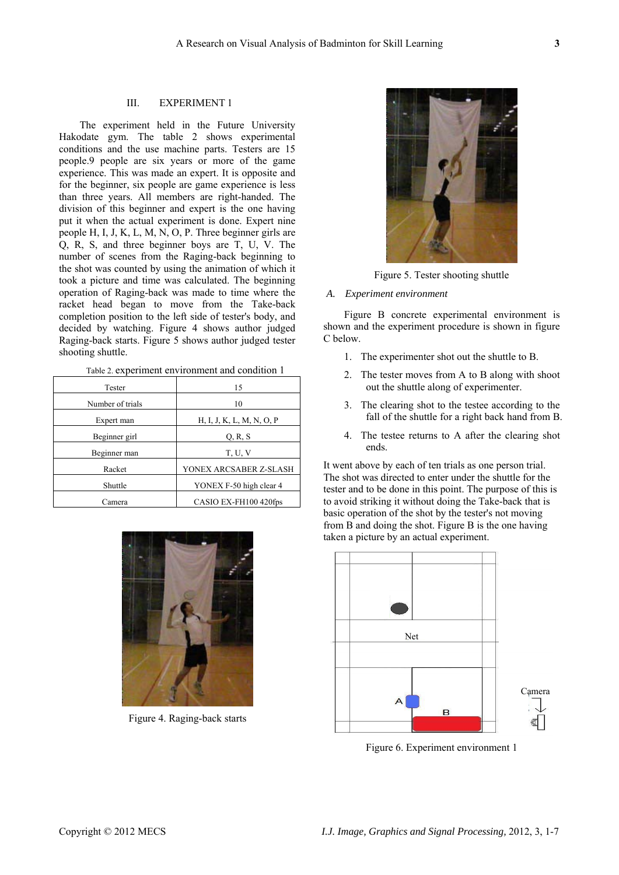#### III. EXPERIMENT 1

The experiment held in the Future University Hakodate gym. The table 2 shows experimental conditions and the use machine parts. Testers are 15 people.9 people are six years or more of the game experience. This was made an expert. It is opposite and for the beginner, six people are game experience is less than three years. All members are right-handed. The division of this beginner and expert is the one having put it when the actual experiment is done. Expert nine people H, I, J, K, L, M, N, O, P. Three beginner girls are Q, R, S, and three beginner boys are T, U, V. The number of scenes from the Raging-back beginning to the shot was counted by using the animation of which it took a picture and time was calculated. The beginning operation of Raging-back was made to time where the racket head began to move from the Take-back completion position to the left side of tester's body, and decided by watching. Figure 4 shows author judged Raging-back starts. Figure 5 shows author judged tester shooting shuttle.

Table 2. experiment environment and condition 1

| Tester           | 15                        |
|------------------|---------------------------|
| Number of trials | 10                        |
| Expert man       | H, I, J, K, L, M, N, O, P |
| Beginner girl    | Q, R, S                   |
| Beginner man     | T, U, V                   |
| Racket           | YONEX ARCSABER Z-SLASH    |
| Shuttle          | YONEX F-50 high clear 4   |
| Camera           | CASIO EX-FH100 420fps     |



Figure 4. Raging-back starts



Figure 5. Tester shooting shuttle

*A. Experiment environment* 

Figure B concrete experimental environment is shown and the experiment procedure is shown in figure C below.

- 1. The experimenter shot out the shuttle to B.
- 2. The tester moves from A to B along with shoot out the shuttle along of experimenter.
- 3. The clearing shot to the testee according to the fall of the shuttle for a right back hand from B.
- 4. The testee returns to A after the clearing shot ends.

It went above by each of ten trials as one person trial. The shot was directed to enter under the shuttle for the tester and to be done in this point. The purpose of this is to avoid striking it without doing the Take-back that is basic operation of the shot by the tester's not moving from B and doing the shot. Figure B is the one having taken a picture by an actual experiment.



Figure 6. Experiment environment 1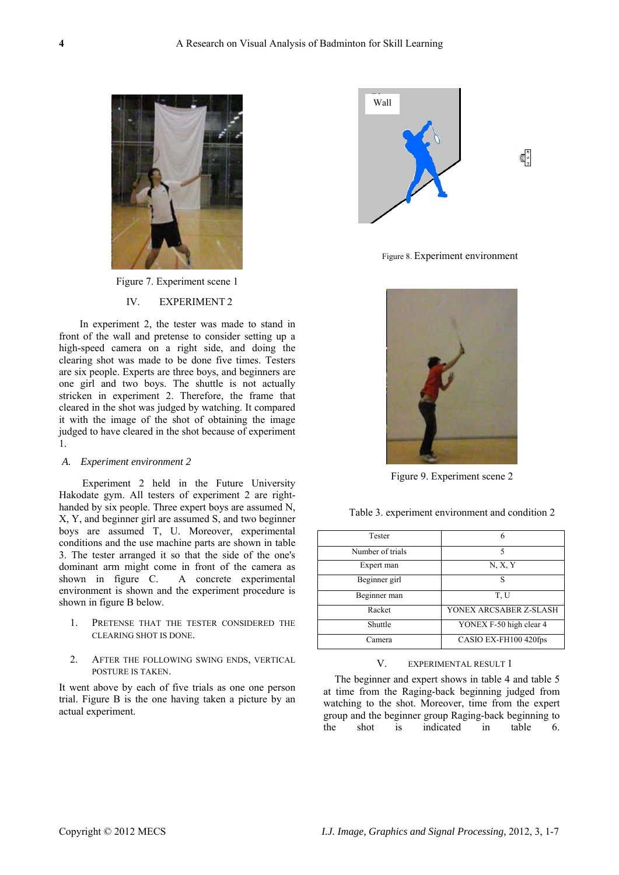

Figure 7. Experiment scene 1

# IV. EXPERIMENT 2

In experiment 2, the tester was made to stand in front of the wall and pretense to consider setting up a high-speed camera on a right side, and doing the clearing shot was made to be done five times. Testers are six people. Experts are three boys, and beginners are one girl and two boys. The shuttle is not actually stricken in experiment 2. Therefore, the frame that cleared in the shot was judged by watching. It compared it with the image of the shot of obtaining the image judged to have cleared in the shot because of experiment 1.

#### *A. Experiment environment 2*

 Experiment 2 held in the Future University Hakodate gym. All testers of experiment 2 are righthanded by six people. Three expert boys are assumed N, X, Y, and beginner girl are assumed S, and two beginner boys are assumed T, U. Moreover, experimental conditions and the use machine parts are shown in table 3. The tester arranged it so that the side of the one's dominant arm might come in front of the camera as shown in figure C. A concrete experimental environment is shown and the experiment procedure is shown in figure B below.

- 1. PRETENSE THAT THE TESTER CONSIDERED THE CLEARING SHOT IS DONE.
- 2. AFTER THE FOLLOWING SWING ENDS, VERTICAL POSTURE IS TAKEN.

It went above by each of five trials as one one person trial. Figure B is the one having taken a picture by an actual experiment.



Figure 8. Experiment environment



Figure 9. Experiment scene 2

Table 3. experiment environment and condition 2

| Tester           | h                       |
|------------------|-------------------------|
| Number of trials | 5                       |
| Expert man       | N, X, Y                 |
| Beginner girl    | S                       |
| Beginner man     | T, U                    |
| Racket           | YONEX ARCSABER Z-SLASH  |
| Shuttle          | YONEX F-50 high clear 4 |
| Camera           | CASIO EX-FH100 420fps   |

#### V. EXPERIMENTAL RESULT 1

The beginner and expert shows in table 4 and table 5 at time from the Raging-back beginning judged from watching to the shot. Moreover, time from the expert group and the beginner group Raging-back beginning to the shot is indicated in table 6.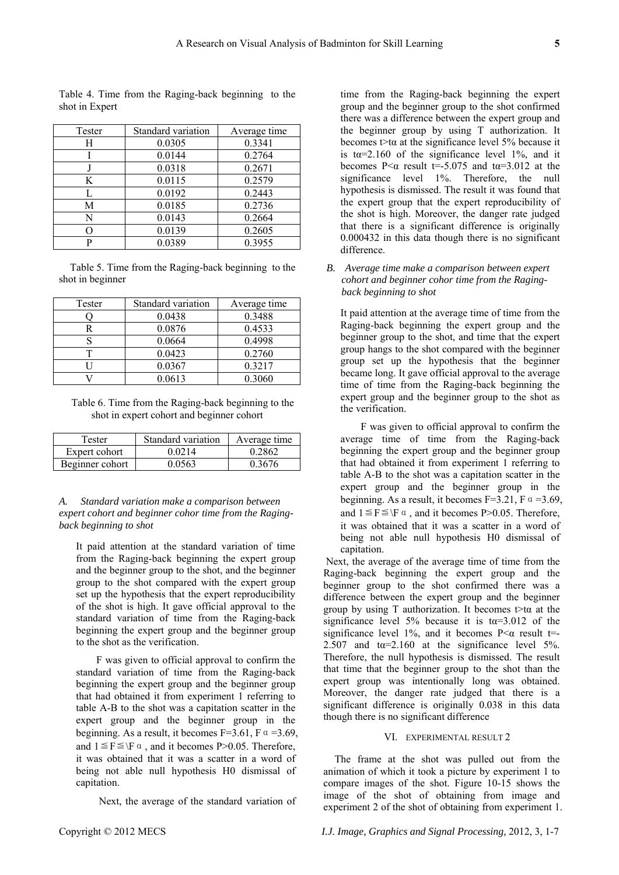| shot in Expert |                    |              |
|----------------|--------------------|--------------|
| Tester         | Standard variation | Average time |
|                | 0.0305             | 0.3341       |
|                | 0.0144             | 0.2764       |
|                |                    |              |

K 0.0115 0.2579  $L = 0.0192 = 0.2443$ M 0.0185 0.2736 N 0.0143 0.2664 O 0.0139 0.2605 P 0.0389 0.3955

Table 4. Time from the Raging-back beginning to the shot in Expert

| Table 5. Time from the Raging-back beginning to the |  |  |
|-----------------------------------------------------|--|--|
| shot in beginner                                    |  |  |

| Tester | Standard variation | Average time |
|--------|--------------------|--------------|
|        | 0.0438             | 0.3488       |
|        | 0.0876             | 0.4533       |
|        | 0.0664             | 0.4998       |
|        | 0.0423             | 0.2760       |
|        | 0.0367             | 0.3217       |
|        | 0.0613             | 0.3060       |

Table 6. Time from the Raging-back beginning to the shot in expert cohort and beginner cohort

| Tester          | Standard variation | Average time |
|-----------------|--------------------|--------------|
| Expert cohort   | 0 0214             | 0.2862       |
| Beginner cohort | 0.0563             | 0.3676       |

*A. Standard variation make a comparison between expert cohort and beginner cohor time from the Ragingback beginning to shot*

It paid attention at the standard variation of time from the Raging-back beginning the expert group and the beginner group to the shot, and the beginner group to the shot compared with the expert group set up the hypothesis that the expert reproducibility of the shot is high. It gave official approval to the standard variation of time from the Raging-back beginning the expert group and the beginner group to the shot as the verification.

F was given to official approval to confirm the standard variation of time from the Raging-back beginning the expert group and the beginner group that had obtained it from experiment 1 referring to table A-B to the shot was a capitation scatter in the expert group and the beginner group in the beginning. As a result, it becomes F=3.61, F $\alpha$ =3.69, and  $1 \leq F \leq \F$ <sup>a</sup>, and it becomes P>0.05. Therefore, it was obtained that it was a scatter in a word of being not able null hypothesis H0 dismissal of capitation.

Next, the average of the standard variation of

time from the Raging-back beginning the expert group and the beginner group to the shot confirmed there was a difference between the expert group and the beginner group by using T authorization. It becomes  $t > t\alpha$  at the significance level 5% because it is t $\alpha$ =2.160 of the significance level 1%, and it becomes P $\alpha$  result t=-5.075 and t $\alpha$ =3.012 at the significance level 1%. Therefore, the null hypothesis is dismissed. The result it was found that the expert group that the expert reproducibility of the shot is high. Moreover, the danger rate judged that there is a significant difference is originally 0.000432 in this data though there is no significant difference.

*B. Average time make a comparison between expert cohort and beginner cohor time from the Ragingback beginning to shot* 

It paid attention at the average time of time from the Raging-back beginning the expert group and the beginner group to the shot, and time that the expert group hangs to the shot compared with the beginner group set up the hypothesis that the beginner became long. It gave official approval to the average time of time from the Raging-back beginning the expert group and the beginner group to the shot as the verification.

F was given to official approval to confirm the average time of time from the Raging-back beginning the expert group and the beginner group that had obtained it from experiment 1 referring to table A-B to the shot was a capitation scatter in the expert group and the beginner group in the beginning. As a result, it becomes F=3.21, F $\alpha$  =3.69, and  $1 \leq F \leq \F$ <sup>a</sup>, and it becomes P>0.05. Therefore, it was obtained that it was a scatter in a word of being not able null hypothesis H0 dismissal of capitation.

 Next, the average of the average time of time from the Raging-back beginning the expert group and the beginner group to the shot confirmed there was a difference between the expert group and the beginner group by using T authorization. It becomes  $t > t\alpha$  at the significance level 5% because it is  $\tau = 3.012$  of the significance level 1%, and it becomes  $P<\alpha$  result t=-2.507 and  $\text{ta}=2.160$  at the significance level 5%. Therefore, the null hypothesis is dismissed. The result that time that the beginner group to the shot than the expert group was intentionally long was obtained. Moreover, the danger rate judged that there is a significant difference is originally 0.038 in this data though there is no significant difference

#### VI. EXPERIMENTAL RESULT 2

The frame at the shot was pulled out from the animation of which it took a picture by experiment 1 to compare images of the shot. Figure 10-15 shows the image of the shot of obtaining from image and experiment 2 of the shot of obtaining from experiment 1.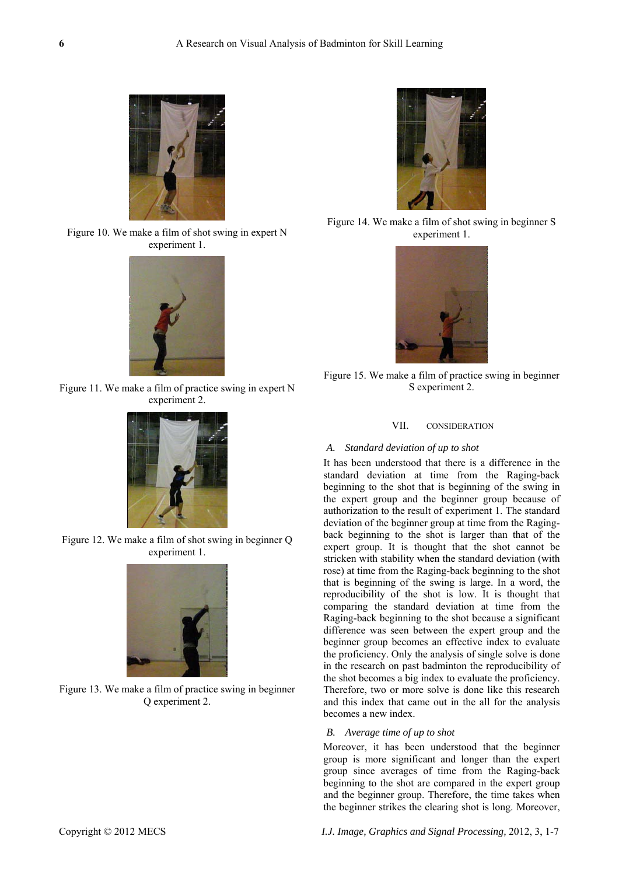

Figure 10. We make a film of shot swing in expert N experiment 1.



Figure 11. We make a film of practice swing in expert N experiment 2.



Figure 12. We make a film of shot swing in beginner Q experiment 1.



Figure 13. We make a film of practice swing in beginner Q experiment 2.



Figure 14. We make a film of shot swing in beginner S experiment 1.



Figure 15. We make a film of practice swing in beginner S experiment 2.

### VII. CONSIDERATION

#### *A. Standard deviation of up to shot*

It has been understood that there is a difference in the standard deviation at time from the Raging-back beginning to the shot that is beginning of the swing in the expert group and the beginner group because of authorization to the result of experiment 1. The standard deviation of the beginner group at time from the Ragingback beginning to the shot is larger than that of the expert group. It is thought that the shot cannot be stricken with stability when the standard deviation (with rose) at time from the Raging-back beginning to the shot that is beginning of the swing is large. In a word, the reproducibility of the shot is low. It is thought that comparing the standard deviation at time from the Raging-back beginning to the shot because a significant difference was seen between the expert group and the beginner group becomes an effective index to evaluate the proficiency. Only the analysis of single solve is done in the research on past badminton the reproducibility of the shot becomes a big index to evaluate the proficiency. Therefore, two or more solve is done like this research and this index that came out in the all for the analysis becomes a new index.

#### *B. Average time of up to shot*

Moreover, it has been understood that the beginner group is more significant and longer than the expert group since averages of time from the Raging-back beginning to the shot are compared in the expert group and the beginner group. Therefore, the time takes when the beginner strikes the clearing shot is long. Moreover,